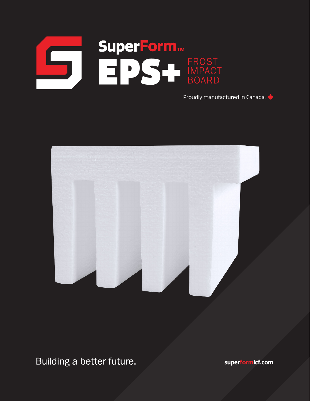

Proudly manufactured in Canada.



Building a better future.

**superformicf.com**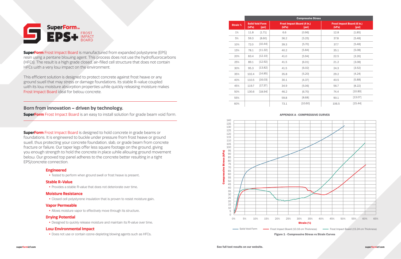#### APPENDIX A - COMPRESSIVE CURVES

Figure 1 - Compressive Stress vs Strain Curves



## **Engineered**

• Tested to perform when ground swell or frost heave is present.

#### **Stable R-Value**

• Provides a stable R-value that does not deteriorate over time.

## **Moisture Resistance**

• Closed cell polystyrene insulation that is proven to resist moisture gain.

#### **Vapor Permeable**

• Allows moisture vapor to effectively move through its structure.

**SuperForm** Frost Impact Board is designed to hold concrete in grade beams or foundations. It is engineered to buckle under pressure from frost heave or ground swell, thus protecting your concrete foundation, slab, or grade beam from concrete fracture or failure. Our taper legs offer less square footage on the ground, giving you enough strength to hold the concrete in place while allowing ground movement below. Our grooved top panel adheres to the concrete better resulting in a tight EPS/concrete connection.

#### **Drying Potential**

• Designed to quickly release moisture and maintain its R-value over time.

### **Low Environmental Impact**



**SuperForm** Frost Impact Board is manufactured from expanded polystyrene (EPS) resin using a pentane blowing agent. This process does not use the hydrofluorocarbons (HFCs). The result is a high grade closed, air-filled cell structure that does not contain HFCs with a very low impact on the environment.

• Does not use or contain ozone-depleting blowing agents such as HFCs.

This efficient solution is designed to protect concrete against frost heave or any ground swell that may stress or damage foundations. Its stable R-value coupled with its low moisture absorption properties while quickly releasing moisture makes Frost Impact Board ideal for below concrete.

# **Born from innovation – driven by technology.**

**SuperForm** Frost Impact Board is an easy to install solution for grade beam void form.

|                 | <b>Compressive Stress</b> |                                 |       |                                            |                                            |         |
|-----------------|---------------------------|---------------------------------|-------|--------------------------------------------|--------------------------------------------|---------|
| <b>Strain %</b> | (kPa)                     | <b>Solid Void Form</b><br>[psi] | (kPa) | <b>Frost Impact Board (4 in.)</b><br>[psi] | <b>Frost Impact Board (6 in.)</b><br>(kPa) | [psi]   |
| $1\%$           | 11.8                      | [1.71]                          | 6.6   | [0.96]                                     | 12.8                                       | [1.85]  |
| 5%              | 59.3                      | [8.60]                          | 36.2  | [5.25]                                     | 37.8                                       | [5.48]  |
| 10%             | 72.0                      | [10.44]                         | 39.3  | [5.70]                                     | 37.7                                       | [5.48]  |
| 15%             | 78.1                      | [11.32]                         | 40.2  | [5.84]                                     | 35.1                                       | [5.08]  |
| 20%             | 83.4                      | [12.10]                         | 41.0  | [5.94]                                     | 22.5                                       | [3.26]  |
| 25%             | 89.1                      | [12.92]                         | 41.5  | [6.01]                                     | 21.2                                       | [3.08]  |
| 30%             | 95.3                      | [13.82]                         | 41.5  | [6.02]                                     | 24.3                                       | [3.52]  |
| 35%             | 102.4                     | [14.85]                         | 35.8  | [5.20]                                     | 29.2                                       | [4.24]  |
| 40%             | 110.5                     | [16.03]                         | 30.1  | [4.37]                                     | 40.5                                       | [5.88]  |
| 45%             | 119.7                     | [17.37]                         | 34.9  | [5.06]                                     | 56.7                                       | [8.22]  |
| 50%             | 130.6                     | [18.94]                         | 46.2  | [6.70]                                     | 74.4                                       | [10.80] |
| 55%             |                           |                                 | 59.8  | [8.68]                                     | 90.1                                       | [13.07] |
| 60%             |                           |                                 | 73.1  | [10.60]                                    | 106.5                                      | [15.44] |